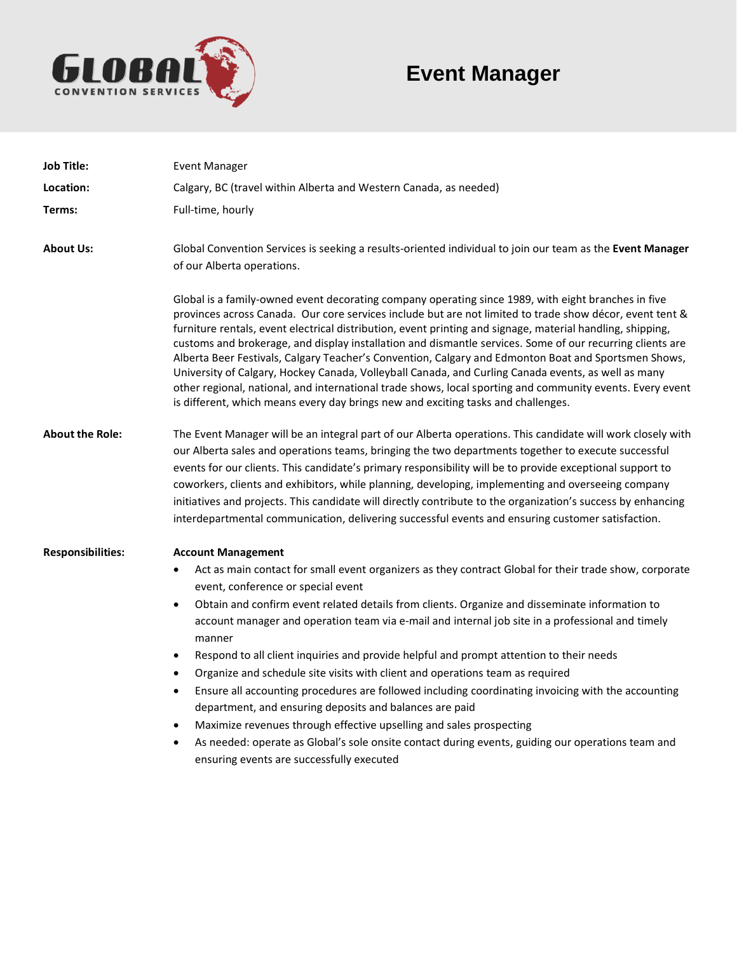

# **Event Manager**

| <b>Job Title:</b>        | <b>Event Manager</b>                                                                                                                                                                                                                                                                                                                                                                                                                                                                                                                                                                                                                                                                                                                                                                                                                                                                                                                                                                                                                               |
|--------------------------|----------------------------------------------------------------------------------------------------------------------------------------------------------------------------------------------------------------------------------------------------------------------------------------------------------------------------------------------------------------------------------------------------------------------------------------------------------------------------------------------------------------------------------------------------------------------------------------------------------------------------------------------------------------------------------------------------------------------------------------------------------------------------------------------------------------------------------------------------------------------------------------------------------------------------------------------------------------------------------------------------------------------------------------------------|
| Location:                | Calgary, BC (travel within Alberta and Western Canada, as needed)                                                                                                                                                                                                                                                                                                                                                                                                                                                                                                                                                                                                                                                                                                                                                                                                                                                                                                                                                                                  |
| Terms:                   | Full-time, hourly                                                                                                                                                                                                                                                                                                                                                                                                                                                                                                                                                                                                                                                                                                                                                                                                                                                                                                                                                                                                                                  |
| <b>About Us:</b>         | Global Convention Services is seeking a results-oriented individual to join our team as the Event Manager<br>of our Alberta operations.                                                                                                                                                                                                                                                                                                                                                                                                                                                                                                                                                                                                                                                                                                                                                                                                                                                                                                            |
|                          | Global is a family-owned event decorating company operating since 1989, with eight branches in five<br>provinces across Canada. Our core services include but are not limited to trade show décor, event tent &<br>furniture rentals, event electrical distribution, event printing and signage, material handling, shipping,<br>customs and brokerage, and display installation and dismantle services. Some of our recurring clients are<br>Alberta Beer Festivals, Calgary Teacher's Convention, Calgary and Edmonton Boat and Sportsmen Shows,<br>University of Calgary, Hockey Canada, Volleyball Canada, and Curling Canada events, as well as many<br>other regional, national, and international trade shows, local sporting and community events. Every event<br>is different, which means every day brings new and exciting tasks and challenges.                                                                                                                                                                                        |
| <b>About the Role:</b>   | The Event Manager will be an integral part of our Alberta operations. This candidate will work closely with<br>our Alberta sales and operations teams, bringing the two departments together to execute successful<br>events for our clients. This candidate's primary responsibility will be to provide exceptional support to<br>coworkers, clients and exhibitors, while planning, developing, implementing and overseeing company<br>initiatives and projects. This candidate will directly contribute to the organization's success by enhancing<br>interdepartmental communication, delivering successful events and ensuring customer satisfaction.                                                                                                                                                                                                                                                                                                                                                                                         |
| <b>Responsibilities:</b> | <b>Account Management</b><br>Act as main contact for small event organizers as they contract Global for their trade show, corporate<br>٠<br>event, conference or special event<br>Obtain and confirm event related details from clients. Organize and disseminate information to<br>$\bullet$<br>account manager and operation team via e-mail and internal job site in a professional and timely<br>manner<br>Respond to all client inquiries and provide helpful and prompt attention to their needs<br>$\bullet$<br>Organize and schedule site visits with client and operations team as required<br>$\bullet$<br>Ensure all accounting procedures are followed including coordinating invoicing with the accounting<br>$\bullet$<br>department, and ensuring deposits and balances are paid<br>Maximize revenues through effective upselling and sales prospecting<br>$\bullet$<br>As needed: operate as Global's sole onsite contact during events, guiding our operations team and<br>$\bullet$<br>ensuring events are successfully executed |